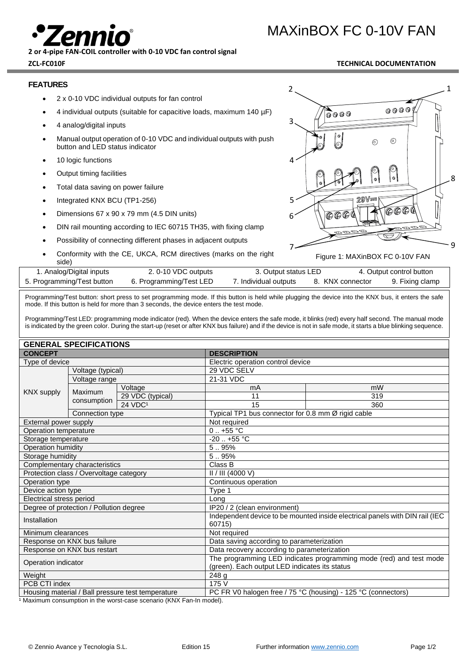**2 or 4-pipe FAN-COIL controller with 0-10 VDC fan control signal**

# **ZCL-FC010F TECHNICAL DOCUMENTATION**

MAXinBOX FC 0-10V FAN

### **FEATURES**

- 2 x 0-10 VDC individual outputs for fan control
- 4 individual outputs (suitable for capacitive loads, maximum 140 µF)
- 4 analog/digital inputs
- Manual output operation of 0-10 VDC and individual outputs with push button and LED status indicator
- 10 logic functions
- Output timing facilities
- Total data saving on power failure
- Integrated KNX BCU (TP1-256)
- Dimensions 67 x 90 x 79 mm (4.5 DIN units)
- DIN rail mounting according to IEC 60715 TH35, with fixing clamp
- Possibility of connecting different phases in adjacent outputs
- Conformity with the CE, UKCA, RCM directives (marks on the right side)



Figure 1: MAXinBOX FC 0-10V FAN

| uuv                        |                         |                       |                  |                          |
|----------------------------|-------------------------|-----------------------|------------------|--------------------------|
| 1. Analog/Digital inputs   | 2.0-10 VDC outputs      | 3. Output status LED  |                  | 4. Output control button |
| 5. Programming/Test button | 6. Programming/Test LED | 7. Individual outputs | 8. KNX connector | 9. Fixing clamp          |

Programming/Test button: short press to set programming mode. If this button is held while plugging the device into the KNX bus, it enters the safe mode. If this button is held for more than 3 seconds, the device enters the test mode.

Programming/Test LED: programming mode indicator (red). When the device enters the safe mode, it blinks (red) every half second. The manual mode is indicated by the green color. During the start-up (reset or after KNX bus failure) and if the device is not in safe mode, it starts a blue blinking sequence.

| <b>GENERAL SPECIFICATIONS</b>                     |                   |                                                                              |                                                    |     |  |
|---------------------------------------------------|-------------------|------------------------------------------------------------------------------|----------------------------------------------------|-----|--|
| <b>CONCEPT</b>                                    |                   | <b>DESCRIPTION</b>                                                           |                                                    |     |  |
| Type of device                                    |                   | Electric operation control device                                            |                                                    |     |  |
|                                                   | Voltage (typical) |                                                                              | 29 VDC SELV                                        |     |  |
|                                                   | Voltage range     |                                                                              | 21-31 VDC                                          |     |  |
| <b>KNX supply</b>                                 |                   | Voltage                                                                      | mA                                                 | mW  |  |
|                                                   | Maximum           | 29 VDC (typical)                                                             | 11                                                 | 319 |  |
|                                                   | consumption       | 24 VDC <sup>1</sup>                                                          | 15                                                 | 360 |  |
|                                                   | Connection type   |                                                                              | Typical TP1 bus connector for 0.8 mm Ø rigid cable |     |  |
| External power supply                             |                   | Not required                                                                 |                                                    |     |  |
| Operation temperature                             |                   | $0.1 + 55$ °C                                                                |                                                    |     |  |
| Storage temperature                               |                   | $-20$ $+55$ °C                                                               |                                                    |     |  |
| <b>Operation humidity</b>                         |                   | 5.95%                                                                        |                                                    |     |  |
| Storage humidity                                  |                   | 5.95%                                                                        |                                                    |     |  |
| Complementary characteristics                     |                   | Class B                                                                      |                                                    |     |  |
| Protection class / Overvoltage category           |                   | II / III (4000 V)                                                            |                                                    |     |  |
| Operation type                                    |                   | Continuous operation                                                         |                                                    |     |  |
| Device action type                                |                   | Type 1                                                                       |                                                    |     |  |
| Electrical stress period                          |                   | Long                                                                         |                                                    |     |  |
| Degree of protection / Pollution degree           |                   | IP20 / 2 (clean environment)                                                 |                                                    |     |  |
| Installation                                      |                   | Independent device to be mounted inside electrical panels with DIN rail (IEC |                                                    |     |  |
|                                                   |                   | 60715)                                                                       |                                                    |     |  |
| Minimum clearances                                |                   | Not required                                                                 |                                                    |     |  |
| Response on KNX bus failure                       |                   | Data saving according to parameterization                                    |                                                    |     |  |
| Response on KNX bus restart                       |                   | Data recovery according to parameterization                                  |                                                    |     |  |
| Operation indicator                               |                   | The programming LED indicates programming mode (red) and test mode           |                                                    |     |  |
|                                                   |                   | (green). Each output LED indicates its status                                |                                                    |     |  |
| Weight                                            |                   | 248 g                                                                        |                                                    |     |  |
| PCB CTI index                                     |                   | 175 V                                                                        |                                                    |     |  |
| Housing material / Ball pressure test temperature |                   | PC FR V0 halogen free / 75 °C (housing) - 125 °C (connectors)                |                                                    |     |  |
|                                                   |                   |                                                                              |                                                    |     |  |

<sup>1</sup> Maximum consumption in the worst-case scenario (KNX Fan-In model).